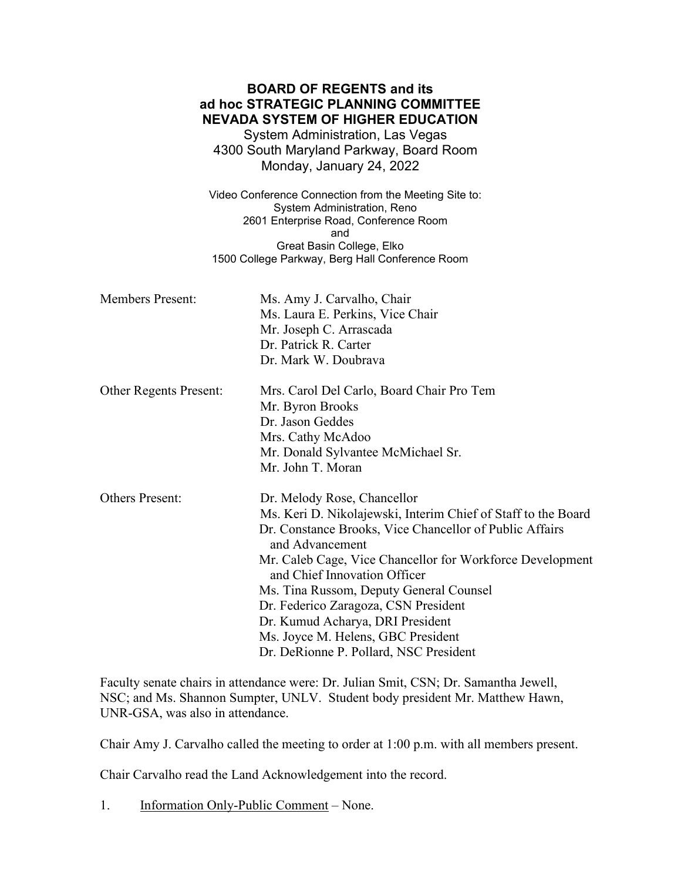| <b>BOARD OF REGENTS and its</b><br>ad hoc STRATEGIC PLANNING COMMITTEE<br><b>NEVADA SYSTEM OF HIGHER EDUCATION</b><br>System Administration, Las Vegas<br>4300 South Maryland Parkway, Board Room<br>Monday, January 24, 2022 |                                                                                                                                                                                                                                                                                                                                                                                                                                                                                |  |
|-------------------------------------------------------------------------------------------------------------------------------------------------------------------------------------------------------------------------------|--------------------------------------------------------------------------------------------------------------------------------------------------------------------------------------------------------------------------------------------------------------------------------------------------------------------------------------------------------------------------------------------------------------------------------------------------------------------------------|--|
| Video Conference Connection from the Meeting Site to:<br>System Administration, Reno<br>2601 Enterprise Road, Conference Room<br>and<br>Great Basin College, Elko<br>1500 College Parkway, Berg Hall Conference Room          |                                                                                                                                                                                                                                                                                                                                                                                                                                                                                |  |
| <b>Members Present:</b>                                                                                                                                                                                                       | Ms. Amy J. Carvalho, Chair<br>Ms. Laura E. Perkins, Vice Chair<br>Mr. Joseph C. Arrascada<br>Dr. Patrick R. Carter<br>Dr. Mark W. Doubrava                                                                                                                                                                                                                                                                                                                                     |  |
| Other Regents Present:                                                                                                                                                                                                        | Mrs. Carol Del Carlo, Board Chair Pro Tem<br>Mr. Byron Brooks<br>Dr. Jason Geddes<br>Mrs. Cathy McAdoo<br>Mr. Donald Sylvantee McMichael Sr.<br>Mr. John T. Moran                                                                                                                                                                                                                                                                                                              |  |
| <b>Others Present:</b>                                                                                                                                                                                                        | Dr. Melody Rose, Chancellor<br>Ms. Keri D. Nikolajewski, Interim Chief of Staff to the Board<br>Dr. Constance Brooks, Vice Chancellor of Public Affairs<br>and Advancement<br>Mr. Caleb Cage, Vice Chancellor for Workforce Development<br>and Chief Innovation Officer<br>Ms. Tina Russom, Deputy General Counsel<br>Dr. Federico Zaragoza, CSN President<br>Dr. Kumud Acharya, DRI President<br>Ms. Joyce M. Helens, GBC President<br>Dr. DeRionne P. Pollard, NSC President |  |

Faculty senate chairs in attendance were: Dr. Julian Smit, CSN; Dr. Samantha Jewell, NSC; and Ms. Shannon Sumpter, UNLV. Student body president Mr. Matthew Hawn, UNR-GSA, was also in attendance.

Chair Amy J. Carvalho called the meeting to order at 1:00 p.m. with all members present.

Chair Carvalho read the Land Acknowledgement into the record.

1. Information Only-Public Comment – None.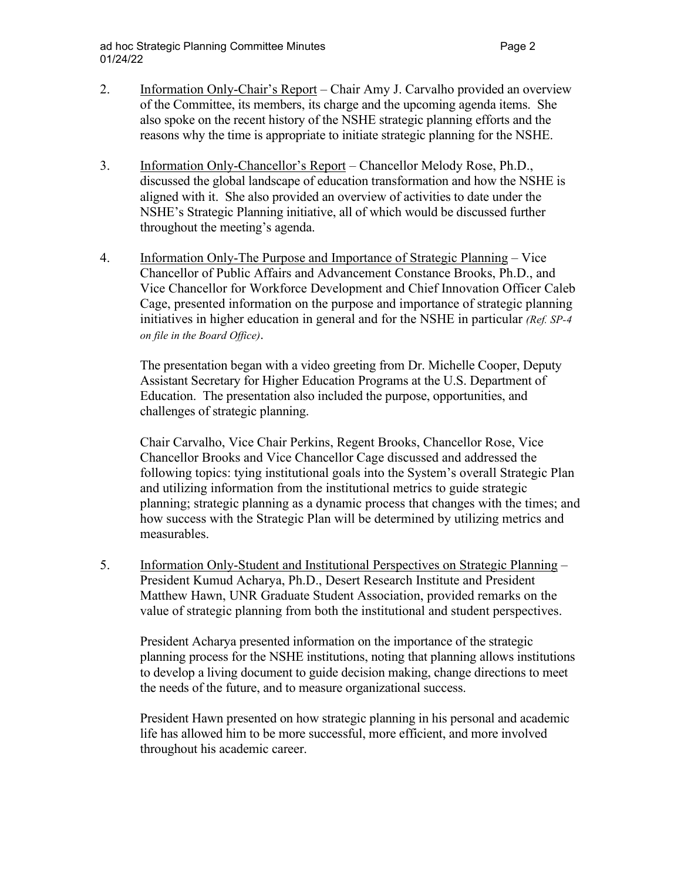- 2. Information Only-Chair's Report Chair Amy J. Carvalho provided an overview of the Committee, its members, its charge and the upcoming agenda items. She also spoke on the recent history of the NSHE strategic planning efforts and the reasons why the time is appropriate to initiate strategic planning for the NSHE.
- 3. Information Only-Chancellor's Report Chancellor Melody Rose, Ph.D., discussed the global landscape of education transformation and how the NSHE is aligned with it. She also provided an overview of activities to date under the NSHE's Strategic Planning initiative, all of which would be discussed further throughout the meeting's agenda.
- 4. Information Only-The Purpose and Importance of Strategic Planning Vice Chancellor of Public Affairs and Advancement Constance Brooks, Ph.D., and Vice Chancellor for Workforce Development and Chief Innovation Officer Caleb Cage, presented information on the purpose and importance of strategic planning initiatives in higher education in general and for the NSHE in particular *(Ref. SP-4 on file in the Board Office)*.

The presentation began with a video greeting from Dr. Michelle Cooper, Deputy Assistant Secretary for Higher Education Programs at the U.S. Department of Education. The presentation also included the purpose, opportunities, and challenges of strategic planning.

Chair Carvalho, Vice Chair Perkins, Regent Brooks, Chancellor Rose, Vice Chancellor Brooks and Vice Chancellor Cage discussed and addressed the following topics: tying institutional goals into the System's overall Strategic Plan and utilizing information from the institutional metrics to guide strategic planning; strategic planning as a dynamic process that changes with the times; and how success with the Strategic Plan will be determined by utilizing metrics and measurables.

5. Information Only-Student and Institutional Perspectives on Strategic Planning – President Kumud Acharya, Ph.D., Desert Research Institute and President Matthew Hawn, UNR Graduate Student Association, provided remarks on the value of strategic planning from both the institutional and student perspectives.

President Acharya presented information on the importance of the strategic planning process for the NSHE institutions, noting that planning allows institutions to develop a living document to guide decision making, change directions to meet the needs of the future, and to measure organizational success.

President Hawn presented on how strategic planning in his personal and academic life has allowed him to be more successful, more efficient, and more involved throughout his academic career.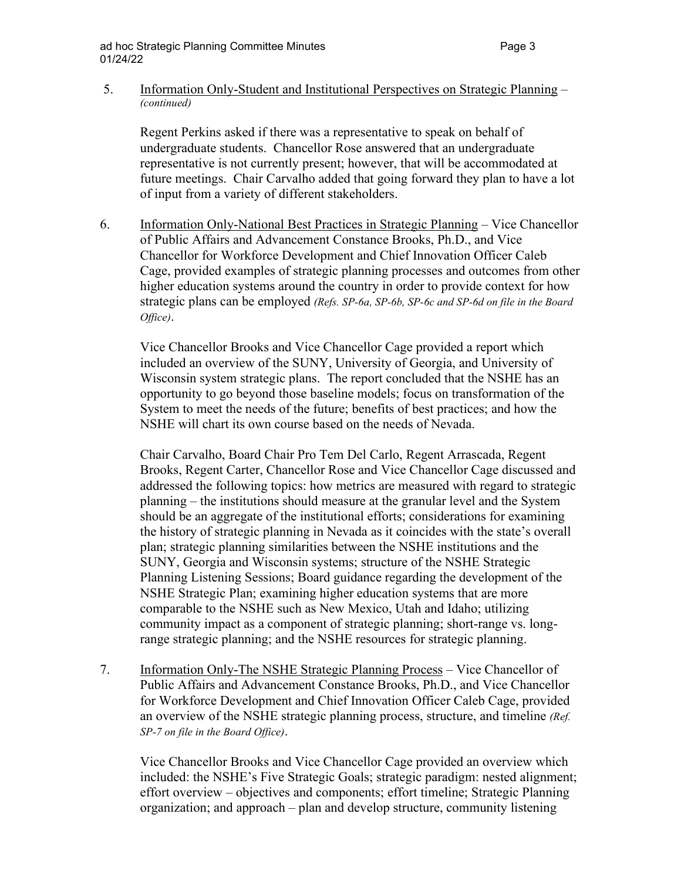## 5. Information Only-Student and Institutional Perspectives on Strategic Planning – *(continued)*

 Regent Perkins asked if there was a representative to speak on behalf of undergraduate students. Chancellor Rose answered that an undergraduate representative is not currently present; however, that will be accommodated at future meetings. Chair Carvalho added that going forward they plan to have a lot of input from a variety of different stakeholders.

6. Information Only-National Best Practices in Strategic Planning – Vice Chancellor of Public Affairs and Advancement Constance Brooks, Ph.D., and Vice Chancellor for Workforce Development and Chief Innovation Officer Caleb Cage, provided examples of strategic planning processes and outcomes from other higher education systems around the country in order to provide context for how strategic plans can be employed *(Refs. SP-6a, SP-6b, SP-6c and SP-6d on file in the Board Office)*.

 Vice Chancellor Brooks and Vice Chancellor Cage provided a report which included an overview of the SUNY, University of Georgia, and University of Wisconsin system strategic plans. The report concluded that the NSHE has an opportunity to go beyond those baseline models; focus on transformation of the System to meet the needs of the future; benefits of best practices; and how the NSHE will chart its own course based on the needs of Nevada.

 Chair Carvalho, Board Chair Pro Tem Del Carlo, Regent Arrascada, Regent Brooks, Regent Carter, Chancellor Rose and Vice Chancellor Cage discussed and addressed the following topics: how metrics are measured with regard to strategic planning – the institutions should measure at the granular level and the System should be an aggregate of the institutional efforts; considerations for examining the history of strategic planning in Nevada as it coincides with the state's overall plan; strategic planning similarities between the NSHE institutions and the SUNY, Georgia and Wisconsin systems; structure of the NSHE Strategic Planning Listening Sessions; Board guidance regarding the development of the NSHE Strategic Plan; examining higher education systems that are more comparable to the NSHE such as New Mexico, Utah and Idaho; utilizing community impact as a component of strategic planning; short-range vs. longrange strategic planning; and the NSHE resources for strategic planning.

7. Information Only-The NSHE Strategic Planning Process – Vice Chancellor of Public Affairs and Advancement Constance Brooks, Ph.D., and Vice Chancellor for Workforce Development and Chief Innovation Officer Caleb Cage, provided an overview of the NSHE strategic planning process, structure, and timeline *(Ref. SP-7 on file in the Board Office)*.

 Vice Chancellor Brooks and Vice Chancellor Cage provided an overview which included: the NSHE's Five Strategic Goals; strategic paradigm: nested alignment; effort overview – objectives and components; effort timeline; Strategic Planning organization; and approach – plan and develop structure, community listening